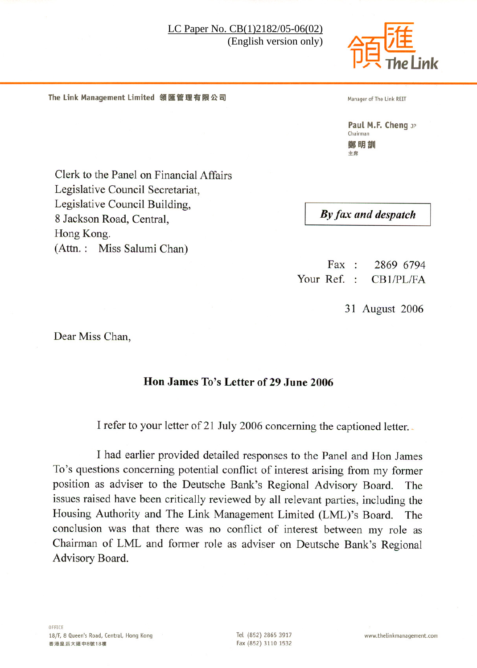

The Link Management Limited 領匯管理有限公司

Manager of The Link REIT

Paul M.F. Cheng JP Chairman 鄭明訓 主席

Clerk to the Panel on Financial Affairs Legislative Council Secretariat, Legislative Council Building, 8 Jackson Road, Central, Hong Kong. (Attn.: Miss Salumi Chan)

By fax and despatch

 $\text{Fax}$  : 2869 6794 Your Ref. :  $CB1/PL/FA$ 

31 August 2006

Dear Miss Chan.

# Hon James To's Letter of 29 June 2006

I refer to your letter of 21 July 2006 concerning the captioned letter.

I had earlier provided detailed responses to the Panel and Hon James To's questions concerning potential conflict of interest arising from my former position as adviser to the Deutsche Bank's Regional Advisory Board. The issues raised have been critically reviewed by all relevant parties, including the Housing Authority and The Link Management Limited (LML)'s Board. The conclusion was that there was no conflict of interest between my role as Chairman of LML and former role as adviser on Deutsche Bank's Regional Advisory Board.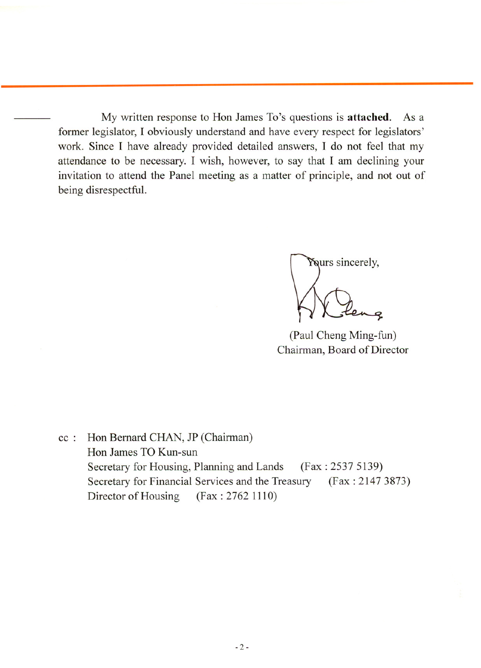My written response to Hon James To's questions is attached. As a former legislator, I obviously understand and have every respect for legislators' work. Since I have already provided detailed answers, I do not feel that my attendance to be necessary. I wish, however, to say that I am declining your invitation to attend the Panel meeting as a matter of principle, and not out of being disrespectful.



(Paul Cheng Ming-fun) Chairman, Board of Director

Hon Bernard CHAN, JP (Chairman)  $cc$ : Hon James TO Kun-sun Secretary for Housing, Planning and Lands  $(Fax: 2537 5139)$ Secretary for Financial Services and the Treasury  $(Fax: 2147 3873)$ Director of Housing  $(Fax: 2762 1110)$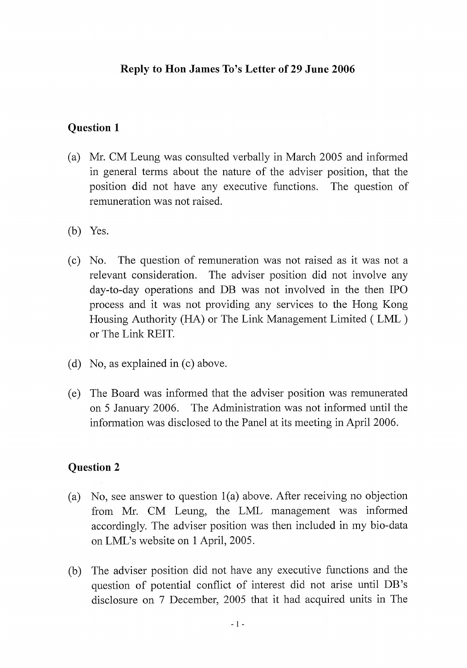## Reply to Hon James To's Letter of 29 June 2006

### **Question 1**

- (a) Mr. CM Leung was consulted verbally in March 2005 and informed in general terms about the nature of the adviser position, that the position did not have any executive functions. The question of remuneration was not raised.
- $(b)$  Yes.
- The question of remuneration was not raised as it was not a  $(c)$  No. relevant consideration. The adviser position did not involve any day-to-day operations and DB was not involved in the then IPO process and it was not providing any services to the Hong Kong Housing Authority (HA) or The Link Management Limited (LML) or The Link REIT.
- (d) No, as explained in (c) above.
- The Board was informed that the adviser position was remunerated  $(e)$ on 5 January 2006. The Administration was not informed until the information was disclosed to the Panel at its meeting in April 2006.

### **Question 2**

- No, see answer to question  $1(a)$  above. After receiving no objection  $(a)$ from Mr. CM Leung, the LML management was informed accordingly. The adviser position was then included in my bio-data on LML's website on 1 April, 2005.
- The adviser position did not have any executive functions and the  $(b)$ question of potential conflict of interest did not arise until DB's disclosure on 7 December, 2005 that it had acquired units in The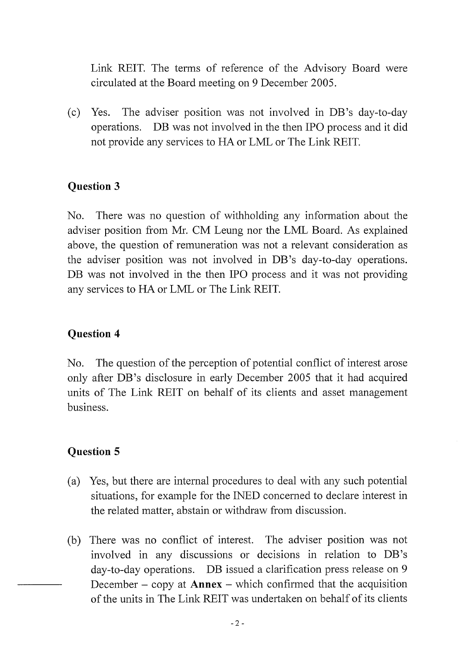Link REIT. The terms of reference of the Advisory Board were circulated at the Board meeting on 9 December 2005.

 $(c)$ Yes. The adviser position was not involved in DB's day-to-day operations. DB was not involved in the then IPO process and it did not provide any services to HA or LML or The Link REIT.

# **Question 3**

There was no question of withholding any information about the No. adviser position from Mr. CM Leung nor the LML Board. As explained above, the question of remuneration was not a relevant consideration as the adviser position was not involved in DB's day-to-day operations. DB was not involved in the then IPO process and it was not providing any services to HA or LML or The Link REIT.

# **Question 4**

The question of the perception of potential conflict of interest arose No. only after DB's disclosure in early December 2005 that it had acquired units of The Link REIT on behalf of its clients and asset management **business** 

# **Question 5**

- Yes, but there are internal procedures to deal with any such potential  $(a)$ situations, for example for the INED concerned to declare interest in the related matter, abstain or withdraw from discussion.
- There was no conflict of interest. The adviser position was not (b) involved in any discussions or decisions in relation to DB's day-to-day operations. DB issued a clarification press release on 9 December – copy at  $Annex$  – which confirmed that the acquisition of the units in The Link REIT was undertaken on behalf of its clients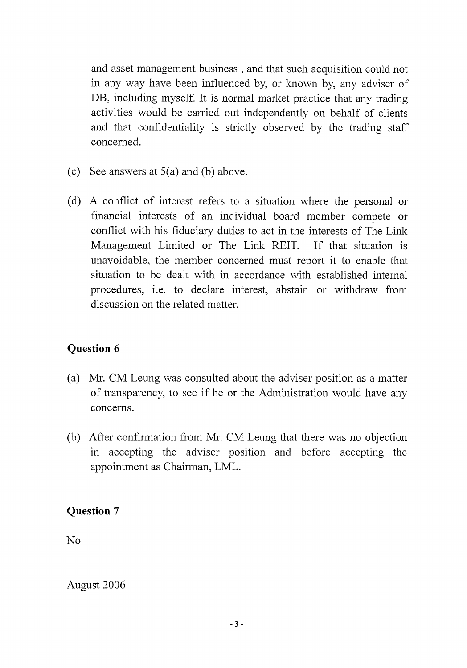and asset management business, and that such acquisition could not in any way have been influenced by, or known by, any adviser of DB, including myself. It is normal market practice that any trading activities would be carried out independently on behalf of clients and that confidentiality is strictly observed by the trading staff concerned.

- (c) See answers at  $5(a)$  and (b) above.
- (d) A conflict of interest refers to a situation where the personal or financial interests of an individual board member compete or conflict with his fiduciary duties to act in the interests of The Link Management Limited or The Link REIT. If that situation is unavoidable, the member concerned must report it to enable that situation to be dealt with in accordance with established internal procedures, i.e. to declare interest, abstain or withdraw from discussion on the related matter.

# **Question 6**

- (a) Mr. CM Leung was consulted about the adviser position as a matter of transparency, to see if he or the Administration would have any concerns.
- (b) After confirmation from Mr. CM Leung that there was no objection in accepting the adviser position and before accepting the appointment as Chairman, LML.

# **Question 7**

No.

August 2006